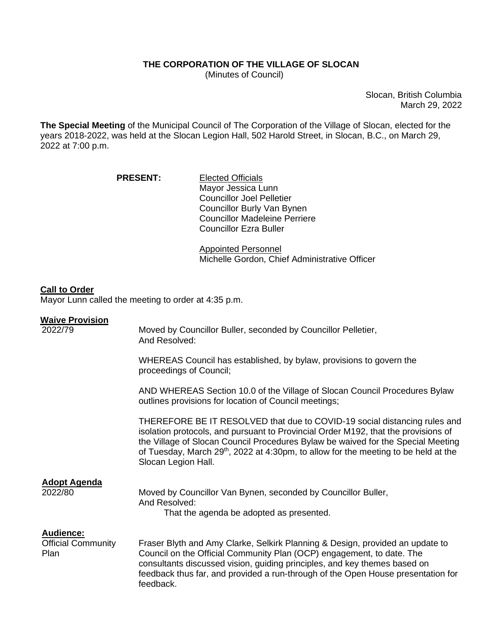## **THE CORPORATION OF THE VILLAGE OF SLOCAN**

(Minutes of Council)

Slocan, British Columbia March 29, 2022

**The Special Meeting** of the Municipal Council of The Corporation of the Village of Slocan, elected for the years 2018-2022, was held at the Slocan Legion Hall, 502 Harold Street, in Slocan, B.C., on March 29, 2022 at 7:00 p.m.

> PRESENT: Elected Officials Mayor Jessica Lunn Councillor Joel Pelletier Councillor Burly Van Bynen Councillor Madeleine Perriere Councillor Ezra Buller

> > Appointed Personnel Michelle Gordon, Chief Administrative Officer

## **Call to Order**

Mayor Lunn called the meeting to order at 4:35 p.m.

## **Waive Provision**

| 2022/79                                               | Moved by Councillor Buller, seconded by Councillor Pelletier,<br>And Resolved:                                                                                                                                                                                                                                                                                                |
|-------------------------------------------------------|-------------------------------------------------------------------------------------------------------------------------------------------------------------------------------------------------------------------------------------------------------------------------------------------------------------------------------------------------------------------------------|
|                                                       | WHEREAS Council has established, by bylaw, provisions to govern the<br>proceedings of Council;                                                                                                                                                                                                                                                                                |
|                                                       | AND WHEREAS Section 10.0 of the Village of Slocan Council Procedures Bylaw<br>outlines provisions for location of Council meetings;                                                                                                                                                                                                                                           |
|                                                       | THEREFORE BE IT RESOLVED that due to COVID-19 social distancing rules and<br>isolation protocols, and pursuant to Provincial Order M192, that the provisions of<br>the Village of Slocan Council Procedures Bylaw be waived for the Special Meeting<br>of Tuesday, March 29 <sup>th</sup> , 2022 at 4:30pm, to allow for the meeting to be held at the<br>Slocan Legion Hall. |
| <b>Adopt Agenda</b><br>2022/80                        | Moved by Councillor Van Bynen, seconded by Councillor Buller,<br>And Resolved:<br>That the agenda be adopted as presented.                                                                                                                                                                                                                                                    |
| <b>Audience:</b><br><b>Official Community</b><br>Plan | Fraser Blyth and Amy Clarke, Selkirk Planning & Design, provided an update to<br>Council on the Official Community Plan (OCP) engagement, to date. The<br>consultants discussed vision, guiding principles, and key themes based on<br>feedback thus far, and provided a run-through of the Open House presentation for<br>feedback.                                          |